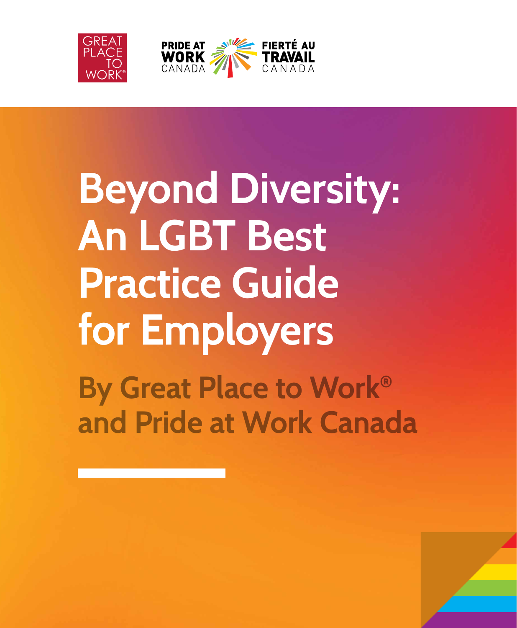



# **By Great Place to Work® Beyond Diversity: An LGBT Best Practice Guide for Employers**

**and Pride at Work Canada**

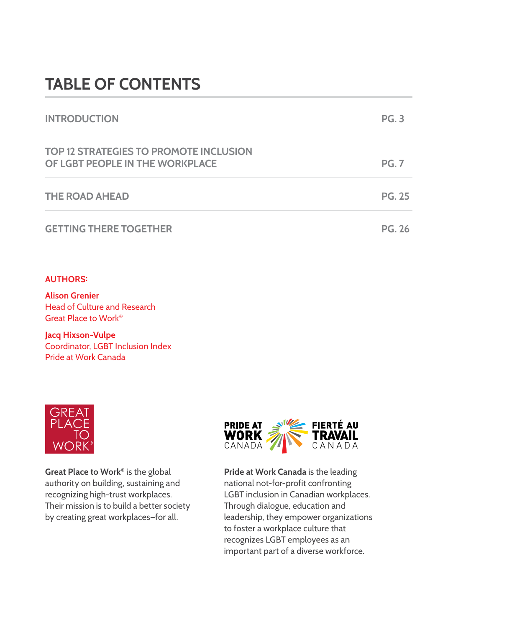# **Table of Contents**

| <b>INTRODUCTION</b>                                                              | PG.3          |
|----------------------------------------------------------------------------------|---------------|
| <b>TOP 12 STRATEGIES TO PROMOTE INCLUSION</b><br>OF LGBT PEOPLE IN THE WORKPLACE | PG.7          |
| <b>THE ROAD AHEAD</b>                                                            | <b>PG. 25</b> |
| <b>GETTING THERE TOGETHER</b>                                                    | <b>PG 26</b>  |

#### **Authors:**

#### **Alison Grenier**

Head of Culture and Research Great Place to Work®

**Jacq Hixson-Vulpe** Coordinator, LGBT Inclusion Index Pride at Work Canada



**Great Place to Work®** is the global authority on building, sustaining and recognizing high-trust workplaces. Their mission is to build a better society by creating great workplaces—for all.



**Pride at Work Canada** is the leading national not-for-profit confronting LGBT inclusion in Canadian workplaces. Through dialogue, education and leadership, they empower organizations to foster a workplace culture that recognizes LGBT employees as an important part of a diverse workforce.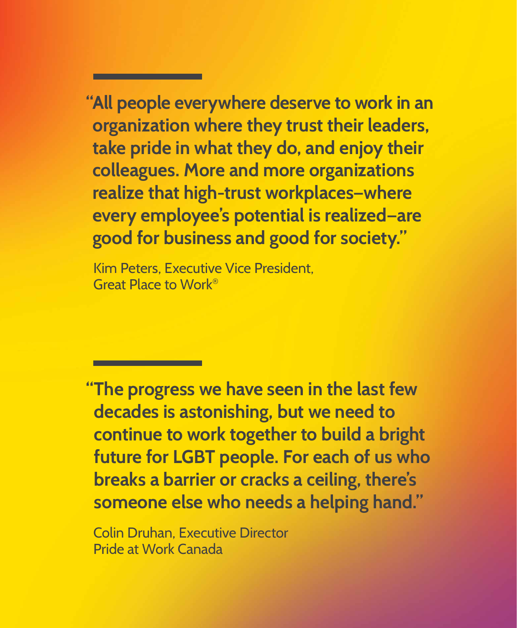**"All people everywhere deserve to work in an organization where they trust their leaders, take pride in what they do, and enjoy their colleagues. More and more organizations realize that high-trust workplaces—where every employee's potential is realized—are good for business and good for society."**

Kim Peters, Executive Vice President, Great Place to Work®

**"The progress we have seen in the last few decades is astonishing, but we need to continue to work together to build a bright future for LGBT people. For each of us who breaks a barrier or cracks a ceiling, there's someone else who needs a helping hand."**

Colin Druhan, Executive Director Pride at Work Canada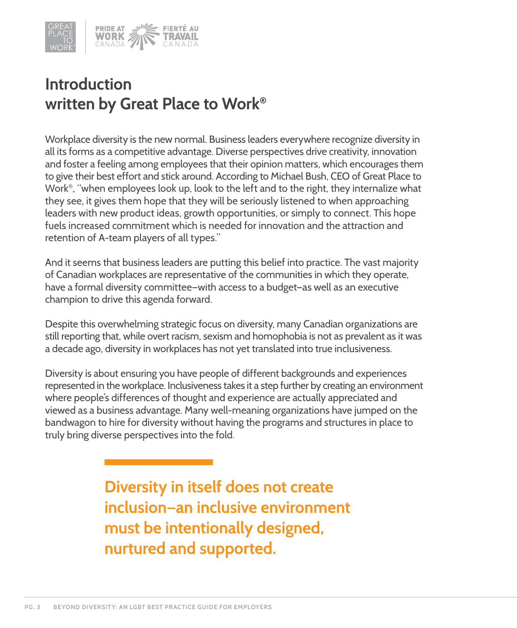

# **Introduction written by Great Place to Work®**

Workplace diversity is the new normal. Business leaders everywhere recognize diversity in all its forms as a competitive advantage. Diverse perspectives drive creativity, innovation and foster a feeling among employees that their opinion matters, which encourages them to give their best effort and stick around. According to Michael Bush, CEO of Great Place to Work<sup>®</sup>, "when employees look up, look to the left and to the right, they internalize what they see, it gives them hope that they will be seriously listened to when approaching leaders with new product ideas, growth opportunities, or simply to connect. This hope fuels increased commitment which is needed for innovation and the attraction and retention of A-team players of all types."

And it seems that business leaders are putting this belief into practice. The vast majority of Canadian workplaces are representative of the communities in which they operate, have a formal diversity committee—with access to a budget—as well as an executive champion to drive this agenda forward.

Despite this overwhelming strategic focus on diversity, many Canadian organizations are still reporting that, while overt racism, sexism and homophobia is not as prevalent as it was a decade ago, diversity in workplaces has not yet translated into true inclusiveness.

Diversity is about ensuring you have people of different backgrounds and experiences represented in the workplace. Inclusiveness takes it a step further by creating an environment where people's differences of thought and experience are actually appreciated and viewed as a business advantage. Many well-meaning organizations have jumped on the bandwagon to hire for diversity without having the programs and structures in place to truly bring diverse perspectives into the fold.

> **Diversity in itself does not create inclusion—an inclusive environment must be intentionally designed, nurtured and supported.**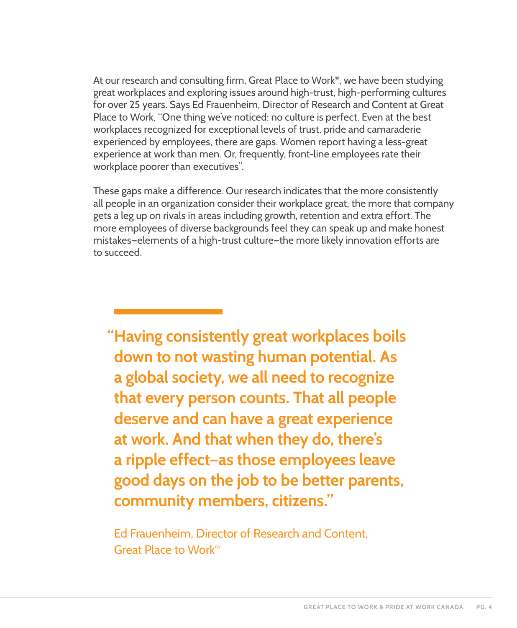At our research and consulting firm, Great Place to Work®, we have been studying great workplaces and exploring issues around high-trust, high-performing cultures for over 25 years. Says Ed Frauenheim, Director of Research and Content at Great Place to Work, "One thing we've noticed: no culture is perfect. Even at the best workplaces recognized for exceptional levels of trust, pride and camaraderie experienced by employees, there are gaps. Women report having a less-great experience at work than men. Or, frequently, front-line employees rate their workplace poorer than executives".

These gaps make a difference. Our research indicates that the more consistently all people in an organization consider their workplace great, the more that company gets a leg up on rivals in areas including growth, retention and extra effort. The more employees of diverse backgrounds feel they can speak up and make honest mistakes—elements of a high-trust culture—the more likely innovation efforts are to succeed.

**"Having consistently great workplaces boils down to not wasting human potential. As a global society, we all need to recognize that every person counts. That all people deserve and can have a great experience at work. And that when they do, there's a ripple effect—as those employees leave good days on the job to be better parents, community members, citizens."**

Ed Frauenheim, Director of Research and Content, Great Place to Work®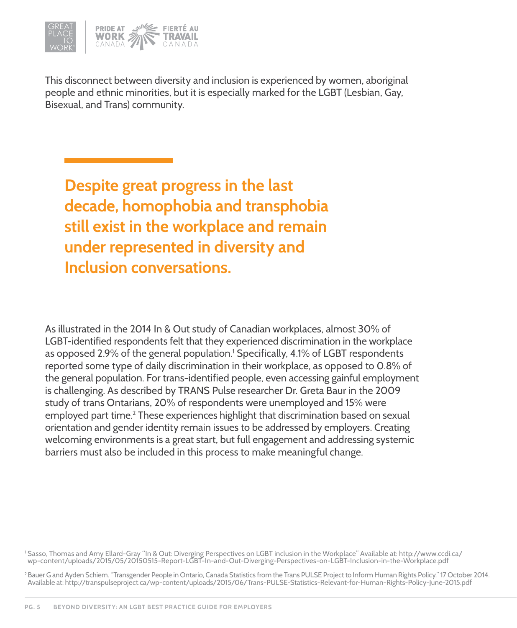

This disconnect between diversity and inclusion is experienced by women, aboriginal people and ethnic minorities, but it is especially marked for the LGBT (Lesbian, Gay, Bisexual, and Trans) community.

**Despite great progress in the last decade, homophobia and transphobia still exist in the workplace and remain under represented in diversity and Inclusion conversations.**

As illustrated in the 2014 In & Out study of Canadian workplaces, almost 30% of LGBT-identified respondents felt that they experienced discrimination in the workplace as opposed 2.9% of the general population.<sup>1</sup> Specifically, 4.1% of LGBT respondents reported some type of daily discrimination in their workplace, as opposed to 0.8% of the general population. For trans-identified people, even accessing gainful employment is challenging. As described by TRANS Pulse researcher Dr. Greta Baur in the 2009 study of trans Ontarians, 20% of respondents were unemployed and 15% were employed part time.<sup>2</sup> These experiences highlight that discrimination based on sexual orientation and gender identity remain issues to be addressed by employers. Creating welcoming environments is a great start, but full engagement and addressing systemic barriers must also be included in this process to make meaningful change.

<sup>2</sup> Bauer G and Ayden Schiem. "Transgender People in Ontario, Canada Statistics from the Trans PULSE Project to Inform Human Rights Policy." 17 October 2014. Available at:<http://transpulseproject.ca/wp-content/uploads/2015/06/Trans-PULSE-Statistics-Relevant-for-Human-Rights-Policy-June-2015.pdf>

Sasso, Thomas and Amy Ellard-Gray "In & Out: Diverging Perspectives on LGBT inclusion in the Workplace" Available at: [http://www.ccdi.ca/](http://www.ccdi.ca/wp-content/uploads/2015/05/20150515-Report-LGBT-In-and-Out-Diverging-Perspectives-on-LGBT-Inclusion-in-the-Workplace.pdf)<br>wp-content/uploads/2015/05/20150515-Report-LGBT-In-and-Out-Diverging-Perspectives-on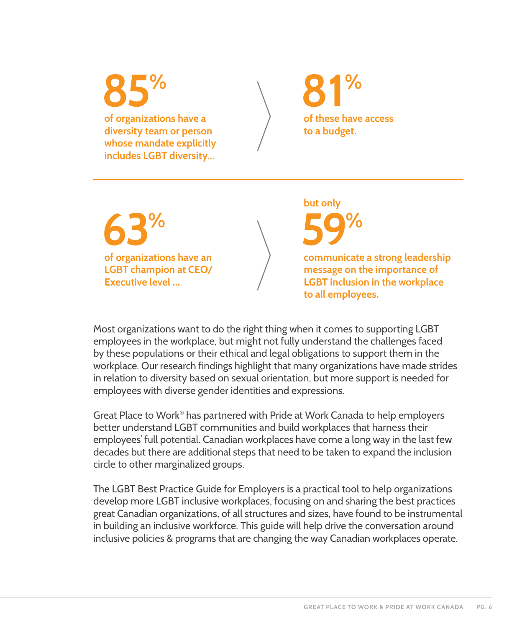**of organizations have a diversity team or person whose mandate explicitly includes LGBT diversity... 85%**

**of these have access to a budget. 81%**

**of organizations have an LGBT champion at CEO/ Executive level ... 63%**

**but only 59%**

**communicate a strong leadership message on the importance of LGBT inclusion in the workplace to all employees.**

Most organizations want to do the right thing when it comes to supporting LGBT employees in the workplace, but might not fully understand the challenges faced by these populations or their ethical and legal obligations to support them in the workplace. Our research findings highlight that many organizations have made strides in relation to diversity based on sexual orientation, but more support is needed for employees with diverse gender identities and expressions.

Great Place to Work® has partnered with Pride at Work Canada to help employers better understand LGBT communities and build workplaces that harness their employees' full potential. Canadian workplaces have come a long way in the last few decades but there are additional steps that need to be taken to expand the inclusion circle to other marginalized groups.

The LGBT Best Practice Guide for Employers is a practical tool to help organizations develop more LGBT inclusive workplaces, focusing on and sharing the best practices great Canadian organizations, of all structures and sizes, have found to be instrumental in building an inclusive workforce. This guide will help drive the conversation around inclusive policies & programs that are changing the way Canadian workplaces operate.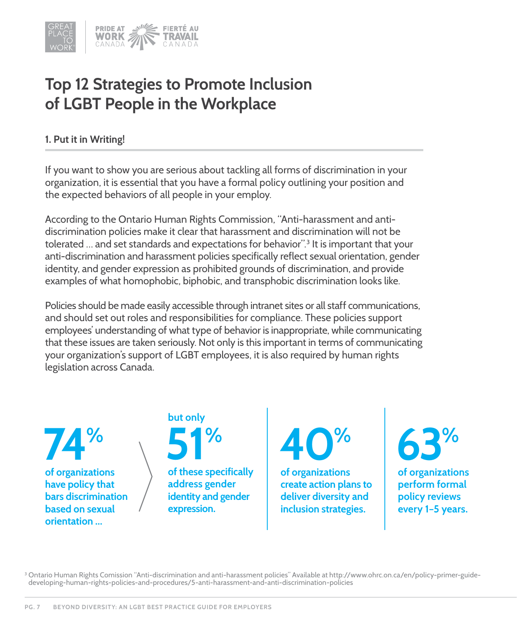

# **Top 12 Strategies to Promote Inclusion of LGBT People in the Workplace**

# **1. Put it in Writing!**

If you want to show you are serious about tackling all forms of discrimination in your organization, it is essential that you have a formal policy outlining your position and the expected behaviors of all people in your employ.

According to the Ontario Human Rights Commission, "Anti-harassment and antidiscrimination policies make it clear that harassment and discrimination will not be tolerated … and set standards and expectations for behavior".<sup>3</sup> It is important that your anti-discrimination and harassment policies specifically reflect sexual orientation, gender identity, and gender expression as prohibited grounds of discrimination, and provide examples of what homophobic, biphobic, and transphobic discrimination looks like.

Policies should be made easily accessible through intranet sites or all staff communications, and should set out roles and responsibilities for compliance. These policies support employees' understanding of what type of behavior is inappropriate, while communicating that these issues are taken seriously. Not only is this important in terms of communicating your organization's support of LGBT employees, it is also required by human rights legislation across Canada.

**of organizations have policy that bars discrimination based on sexual orientation ...**

**but only of these specifically address gender 51%**

**identity and gender expression.**

**of organizations create action plans to deliver diversity and inclusion strategies. 74% 40% 63%**

**of organizations perform formal policy reviews every 1–5 years.**

<sup>3</sup> Ontario Human Rights Comission "Anti-discrimination and anti-harassment policies" Available at<http://www.ohrc.on.ca/en/policy>-primer-guidedeveloping-human-rights-policies-and-procedures/5-anti-harassment-and-anti-discrimination-policies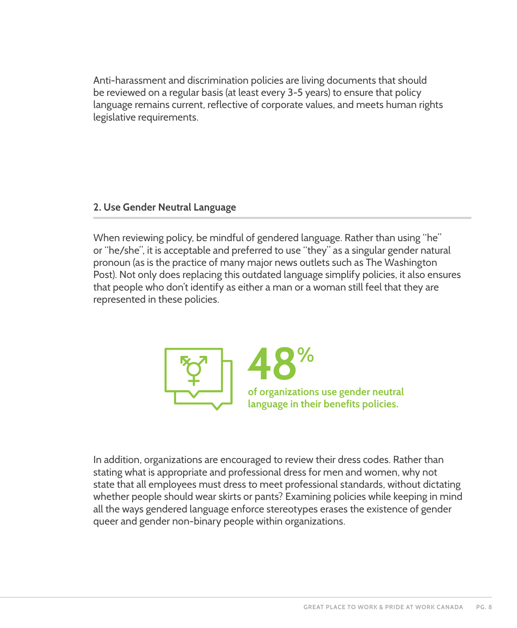Anti-harassment and discrimination policies are living documents that should be reviewed on a regular basis (at least every 3-5 years) to ensure that policy language remains current, reflective of corporate values, and meets human rights legislative requirements.

# **2. Use Gender Neutral Language**

When reviewing policy, be mindful of gendered language. Rather than using "he" or "he/she", it is acceptable and preferred to use "they" as a singular gender natural pronoun (as is the practice of many major news outlets such as The Washington Post). Not only does replacing this outdated language simplify policies, it also ensures that people who don't identify as either a man or a woman still feel that they are represented in these policies.



In addition, organizations are encouraged to review their dress codes. Rather than stating what is appropriate and professional dress for men and women, why not state that all employees must dress to meet professional standards, without dictating whether people should wear skirts or pants? Examining policies while keeping in mind all the ways gendered language enforce stereotypes erases the existence of gender queer and gender non-binary people within organizations.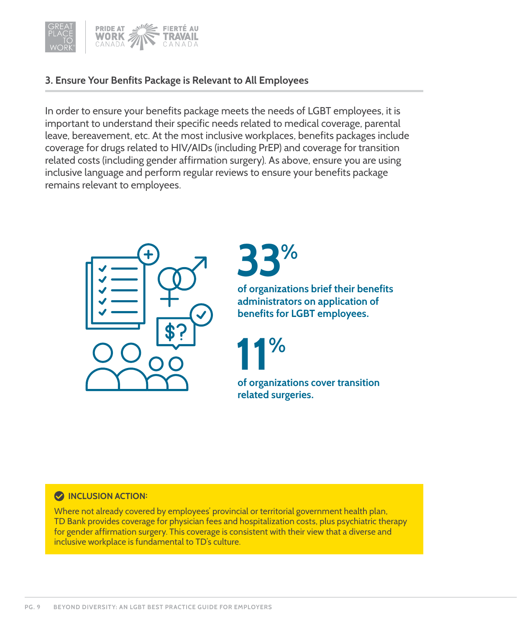

# **3. Ensure Your Benfits Package is Relevant to All Employees**

In order to ensure your benefits package meets the needs of LGBT employees, it is important to understand their specific needs related to medical coverage, parental leave, bereavement, etc. At the most inclusive workplaces, benefits packages include coverage for drugs related to HIV/AIDs (including PrEP) and coverage for transition related costs (including gender affirmation surgery). As above, ensure you are using inclusive language and perform regular reviews to ensure your benefits package remains relevant to employees.



**33%**

**of organizations brief their benefits administrators on application of benefits for LGBT employees.**

**11%**

**of organizations cover transition related surgeries.**

### **Inclusion Action:**

Where not already covered by employees' provincial or territorial government health plan, TD Bank provides coverage for physician fees and hospitalization costs, plus psychiatric therapy for gender affirmation surgery. This coverage is consistent with their view that a diverse and inclusive workplace is fundamental to TD's culture.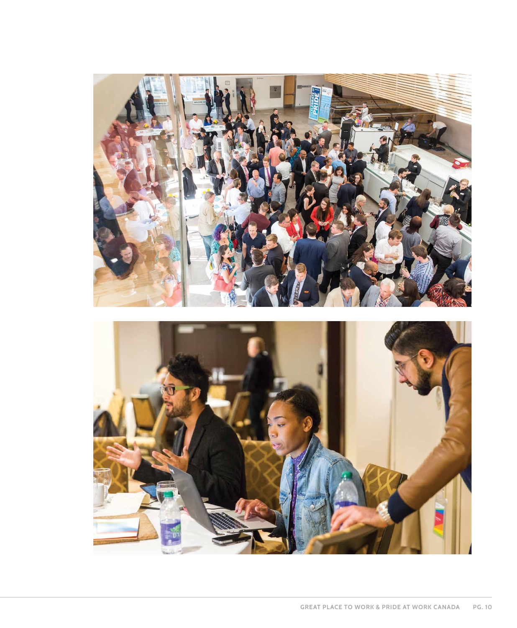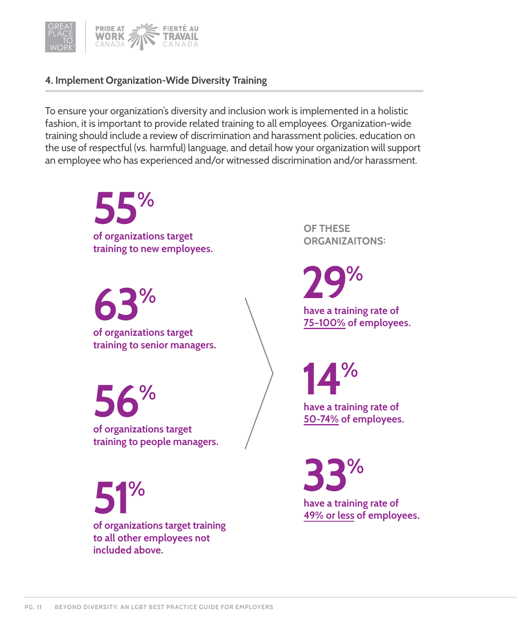

# **4. Implement Organization-Wide Diversity Training**

To ensure your organization's diversity and inclusion work is implemented in a holistic fashion, it is important to provide related training to all employees. Organization-wide training should include a review of discrimination and harassment policies, education on the use of respectful (vs. harmful) language, and detail how your organization will support an employee who has experienced and/or witnessed discrimination and/or harassment.

> **organizaitons: of organizations target training to new employees. 55%**

**of organizations target 63%**

**training to senior managers.**

**of organizations target training to people managers. 56%**

**of organizations target training to all other employees not included above. 51%**

**Of these**

**have a training rate of 75–100% of employees. 29%**

**have a training rate of 50-74% of employees. 14%**

**have a training rate of 49% or less of employees. 33%**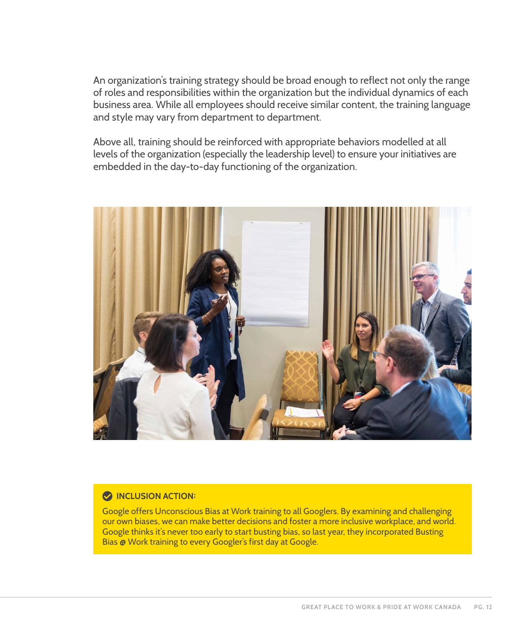An organization's training strategy should be broad enough to reflect not only the range of roles and responsibilities within the organization but the individual dynamics of each business area. While all employees should receive similar content, the training language and style may vary from department to department.

Above all, training should be reinforced with appropriate behaviors modelled at all levels of the organization (especially the leadership level) to ensure your initiatives are embedded in the day-to-day functioning of the organization.



#### *<u>O*</u> INCLUSION ACTION:

Google offers Unconscious Bias at Work training to all Googlers. By examining and challenging our own biases, we can make better decisions and foster a more inclusive workplace, and world. Google thinks it's never too early to start busting bias, so last year, they incorporated Busting Bias @ Work training to every Googler's first day at Google.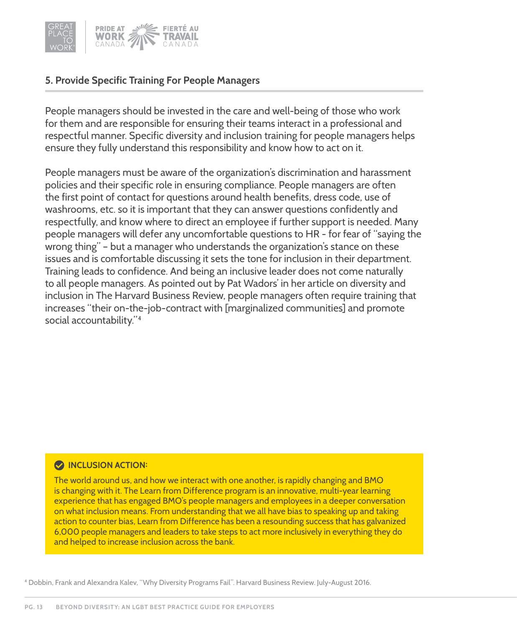

# **5. Provide Specific Training For People Managers**

People managers should be invested in the care and well-being of those who work for them and are responsible for ensuring their teams interact in a professional and respectful manner. Specific diversity and inclusion training for people managers helps ensure they fully understand this responsibility and know how to act on it.

People managers must be aware of the organization's discrimination and harassment policies and their specific role in ensuring compliance. People managers are often the first point of contact for questions around health benefits, dress code, use of washrooms, etc. so it is important that they can answer questions confidently and respectfully, and know where to direct an employee if further support is needed. Many people managers will defer any uncomfortable questions to HR - for fear of "saying the wrong thing" – but a manager who understands the organization's stance on these issues and is comfortable discussing it sets the tone for inclusion in their department. Training leads to confidence. And being an inclusive leader does not come naturally to all people managers. As pointed out by Pat Wadors' in her article on diversity and inclusion in The Harvard Business Review, people managers often require training that increases "their on-the-job-contract with [marginalized communities] and promote social accountability."4

#### **Inclusion Action:**

The world around us, and how we interact with one another, is rapidly changing and BMO is changing with it. The Learn from Difference program is an innovative, multi-year learning experience that has engaged BMO's people managers and employees in a deeper conversation on what inclusion means. From understanding that we all have bias to speaking up and taking action to counter bias, Learn from Difference has been a resounding success that has galvanized 6,000 people managers and leaders to take steps to act more inclusively in everything they do and helped to increase inclusion across the bank.

4 Dobbin, Frank and Alexandra Kalev, "Why Diversity Programs Fail". Harvard Business Review. July-August 2016.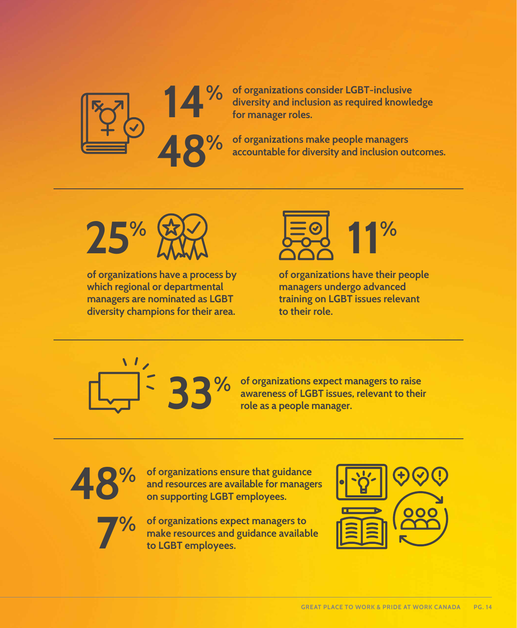

**of organizations consider LGBT-inclusive diversity and inclusion as required knowledge 14 for manager roles.**

**of organizations make people managers accountable for diversity and inclusion outcomes.**



**of organizations have a process by which regional or departmental managers are nominated as LGBT diversity champions for their area.**



**of organizations have their people managers undergo advanced training on LGBT issues relevant to their role.**



**%**

**%**

**3** <sup>**3**  $\frac{9}{3}$  **of organizations expect managers to raise** awareness of LGBT issues, relevant to their role as a people manager.</sup>

**of organizations ensure that guidance and resources are available for managers 48 on supporting LGBT employees.** 

**of organizations expect managers to make resources and guidance available 7 to LGBT employees.**

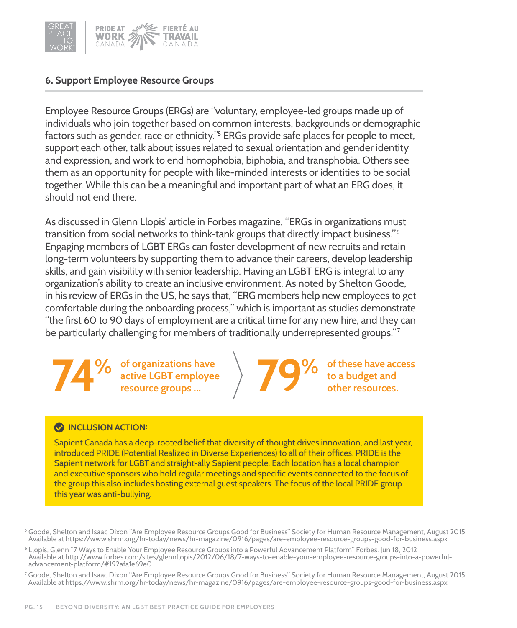

# **6. Support Employee Resource Groups**

Employee Resource Groups (ERGs) are "voluntary, employee-led groups made up of individuals who join together based on common interests, backgrounds or demographic factors such as gender, race or ethnicity."<sup>5</sup> ERGs provide safe places for people to meet, support each other, talk about issues related to sexual orientation and gender identity and expression, and work to end homophobia, biphobia, and transphobia. Others see them as an opportunity for people with like-minded interests or identities to be social together. While this can be a meaningful and important part of what an ERG does, it should not end there.

As discussed in Glenn Llopis' article in Forbes magazine, "ERGs in organizations must transition from social networks to think-tank groups that directly impact business."6 Engaging members of LGBT ERGs can foster development of new recruits and retain long-term volunteers by supporting them to advance their careers, develop leadership skills, and gain visibility with senior leadership. Having an LGBT ERG is integral to any organization's ability to create an inclusive environment. As noted by Shelton Goode, in his review of ERGs in the US, he says that, "ERG members help new employees to get comfortable during the onboarding process," which is important as studies demonstrate "the first 60 to 90 days of employment are a critical time for any new hire, and they can be particularly challenging for members of traditionally underrepresented groups."<sup>7</sup>

**of organizations have active LGBT employee hexand the CON of organizations have**<br> **19% of these have access**<br> **19% of these have access**<br> **19% of these have access**<br> **19% of these have access**<br> **19% of these have access** 

**of these have access**

#### *C* INCLUSION ACTION:

Sapient Canada has a deep-rooted belief that diversity of thought drives innovation, and last year, introduced PRIDE (Potential Realized in Diverse Experiences) to all of their offices. PRIDE is the Sapient network for LGBT and straight-ally Sapient people. Each location has a local champion and executive sponsors who hold regular meetings and specific events connected to the focus of the group this also includes hosting external guest speakers. The focus of the local PRIDE group this year was anti-bullying.

<sup>5</sup> Goode, Shelton and Isaac Dixon "Are Employee Resource Groups Good for Business" Society for Human Resource Management, August 2015. Available at<https://www.shrm.org/hr-today/news/hr-magazine/0916/pages/are-employee-resource-groups-good-for-business.aspx>

- <sup>6</sup> Llopis, Glenn "7 Ways to Enable Your Employee Resource Groups into a Powerful Advancement Platform" Forbes. Jun 18, 2012<br>Available at <http://www.forbes.com/sites/glennllopis/2012/06/18>/7-ways-to-enable-your-employee-re advancement-platform/#192afa1e69e0
- <sup>7</sup> Goode, Shelton and Isaac Dixon "Are Employee Resource Groups Good for Business" Society for Human Resource Management, August 2015. Available at <https://www.shrm.org/hr-today/news/hr-magazine/0916/pages/are-employee-resource-groups-good-for-business.aspx>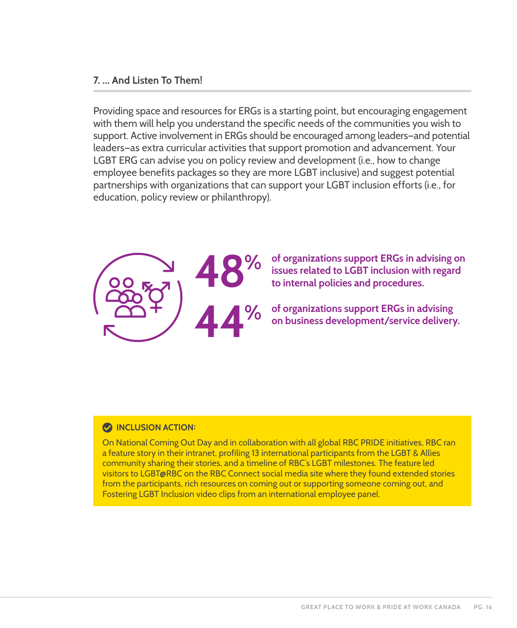### **7. … And Listen To Them!**

Providing space and resources for ERGs is a starting point, but encouraging engagement with them will help you understand the specific needs of the communities you wish to support. Active involvement in ERGs should be encouraged among leaders—and potential leaders—as extra curricular activities that support promotion and advancement. Your LGBT ERG can advise you on policy review and development (i.e., how to change employee benefits packages so they are more LGBT inclusive) and suggest potential partnerships with organizations that can support your LGBT inclusion efforts (i.e., for education, policy review or philanthropy).



**of organizations support ERGs in advising on issues related to LGBT inclusion with regard to internal policies and procedures.**

**of organizations support ERGs in advising on business development/service delivery.**

### *<u>O*</u> INCLUSION ACTION:

On National Coming Out Day and in collaboration with all global RBC PRIDE initiatives, RBC ran a feature story in their intranet, profiling 13 international participants from the LGBT & Allies community sharing their stories, and a timeline of RBC's LGBT milestones. The feature led visitors to LGBT@RBC on the RBC Connect social media site where they found extended stories from the participants, rich resources on coming out or supporting someone coming out, and Fostering LGBT Inclusion video clips from an international employee panel.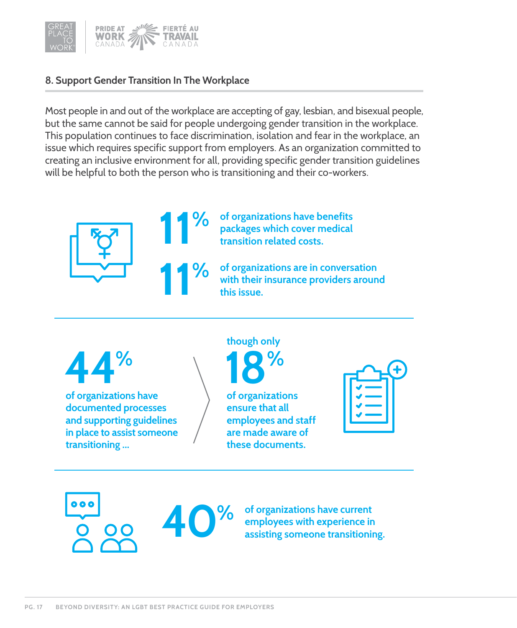

# **8. Support Gender Transition In The Workplace**

Most people in and out of the workplace are accepting of gay, lesbian, and bisexual people, but the same cannot be said for people undergoing gender transition in the workplace. This population continues to face discrimination, isolation and fear in the workplace, an issue which requires specific support from employers. As an organization committed to creating an inclusive environment for all, providing specific gender transition guidelines will be helpful to both the person who is transitioning and their co-workers.



**of organizations have benefits packages which cover medical 11 transition related costs.**

**of organizations are in conversation with their insurance providers around 11 this issue.** 

**of organizations have documented processes and supporting guidelines in place to assist someone 44% 18%**

**transitioning ...**

**though only**

**%**

**of organizations ensure that all employees and staff are made aware of these documents.**

**of** organizations have current employees with experience in assisting someone transitioning.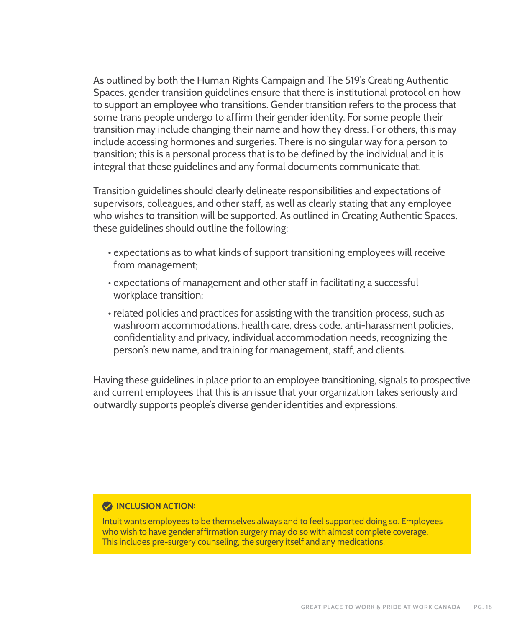As outlined by both the Human Rights Campaign and The 519's Creating Authentic Spaces, gender transition guidelines ensure that there is institutional protocol on how to support an employee who transitions. Gender transition refers to the process that some trans people undergo to affirm their gender identity. For some people their transition may include changing their name and how they dress. For others, this may include accessing hormones and surgeries. There is no singular way for a person to transition; this is a personal process that is to be defined by the individual and it is integral that these guidelines and any formal documents communicate that.

Transition guidelines should clearly delineate responsibilities and expectations of supervisors, colleagues, and other staff, as well as clearly stating that any employee who wishes to transition will be supported. As outlined in Creating Authentic Spaces, these guidelines should outline the following:

- expectations as to what kinds of support transitioning employees will receive from management;
- expectations of management and other staff in facilitating a successful workplace transition;
- related policies and practices for assisting with the transition process, such as washroom accommodations, health care, dress code, anti-harassment policies, confidentiality and privacy, individual accommodation needs, recognizing the person's new name, and training for management, staff, and clients.

Having these guidelines in place prior to an employee transitioning, signals to prospective and current employees that this is an issue that your organization takes seriously and outwardly supports people's diverse gender identities and expressions.

#### **Inclusion Action:**

Intuit wants employees to be themselves always and to feel supported doing so. Employees who wish to have gender affirmation surgery may do so with almost complete coverage. This includes pre-surgery counseling, the surgery itself and any medications.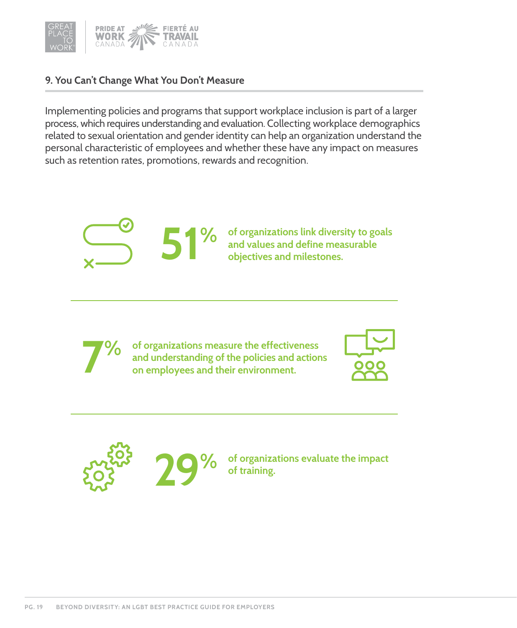

# **9. You Can't Change What You Don't Measure**

Implementing policies and programs that support workplace inclusion is part of a larger process, which requires understanding and evaluation. Collecting workplace demographics related to sexual orientation and gender identity can help an organization understand the personal characteristic of employees and whether these have any impact on measures such as retention rates, promotions, rewards and recognition.



**b of organizations link diversity to goals and values and define measurable objectives and milestones.** 



**of organizations measure the effectiveness and understanding of the policies and actions on employees and their environment.** 





**of organizations evaluate the impact 29% of training.**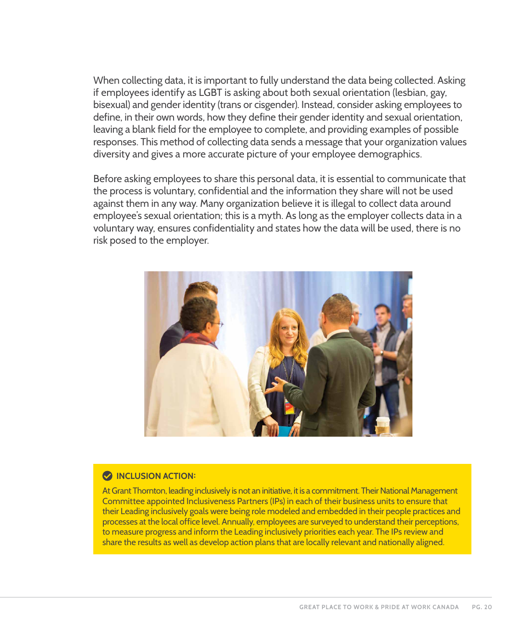When collecting data, it is important to fully understand the data being collected. Asking if employees identify as LGBT is asking about both sexual orientation (lesbian, gay, bisexual) and gender identity (trans or cisgender). Instead, consider asking employees to define, in their own words, how they define their gender identity and sexual orientation, leaving a blank field for the employee to complete, and providing examples of possible responses. This method of collecting data sends a message that your organization values diversity and gives a more accurate picture of your employee demographics.

Before asking employees to share this personal data, it is essential to communicate that the process is voluntary, confidential and the information they share will not be used against them in any way. Many organization believe it is illegal to collect data around employee's sexual orientation; this is a myth. As long as the employer collects data in a voluntary way, ensures confidentiality and states how the data will be used, there is no risk posed to the employer.



#### *<u>O*</u> INCLUSION ACTION:

At Grant Thornton, leading inclusively is not an initiative, it is a commitment. Their National Management Committee appointed Inclusiveness Partners (IPs) in each of their business units to ensure that their Leading inclusively goals were being role modeled and embedded in their people practices and processes at the local office level. Annually, employees are surveyed to understand their perceptions, to measure progress and inform the Leading inclusively priorities each year. The IPs review and share the results as well as develop action plans that are locally relevant and nationally aligned.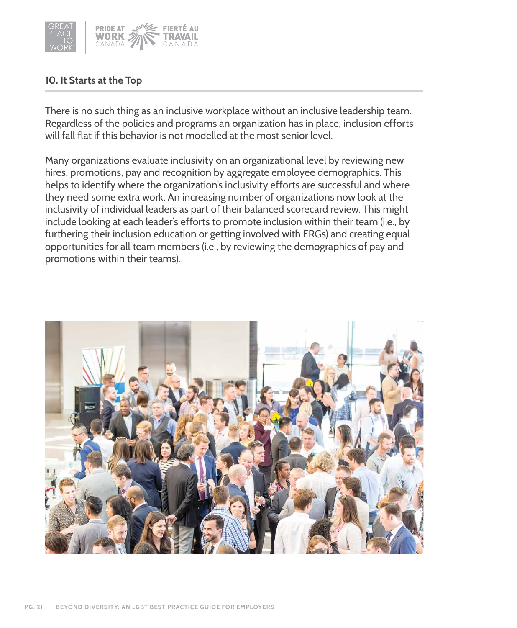

# **10. It Starts at the Top**

There is no such thing as an inclusive workplace without an inclusive leadership team. Regardless of the policies and programs an organization has in place, inclusion efforts will fall flat if this behavior is not modelled at the most senior level.

Many organizations evaluate inclusivity on an organizational level by reviewing new hires, promotions, pay and recognition by aggregate employee demographics. This helps to identify where the organization's inclusivity efforts are successful and where they need some extra work. An increasing number of organizations now look at the inclusivity of individual leaders as part of their balanced scorecard review. This might include looking at each leader's efforts to promote inclusion within their team (i.e., by furthering their inclusion education or getting involved with ERGs) and creating equal opportunities for all team members (i.e., by reviewing the demographics of pay and promotions within their teams).

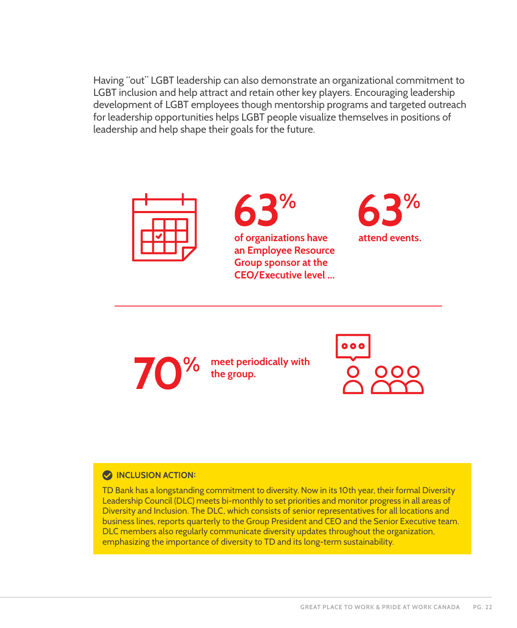Having "out" LGBT leadership can also demonstrate an organizational commitment to LGBT inclusion and help attract and retain other key players. Encouraging leadership development of LGBT employees though mentorship programs and targeted outreach for leadership opportunities helps LGBT people visualize themselves in positions of leadership and help shape their goals for the future.



**of organizations have an Employee Resource Group sponsor at the CEO/Executive level ...**

**attend events. 63% 63%**

**meet periodically with the group. 70%**



#### **Inclusion Action:**

TD Bank has a longstanding commitment to diversity. Now in its 10th year, their formal Diversity Leadership Council (DLC) meets bi-monthly to set priorities and monitor progress in all areas of Diversity and Inclusion. The DLC, which consists of senior representatives for all locations and business lines, reports quarterly to the Group President and CEO and the Senior Executive team. DLC members also regularly communicate diversity updates throughout the organization, emphasizing the importance of diversity to TD and its long-term sustainability.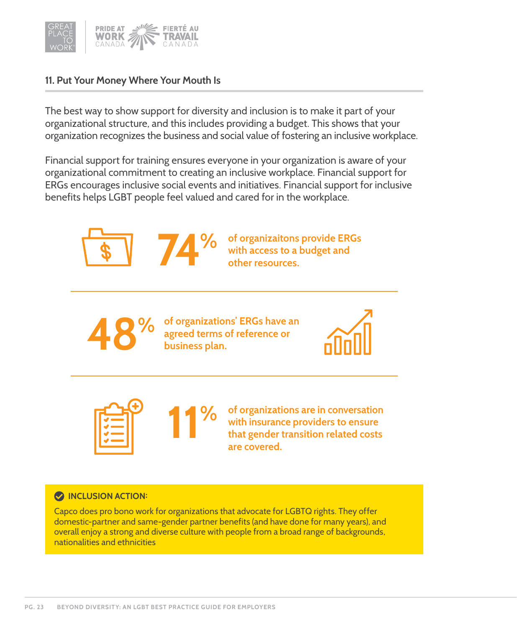

## **11. Put Your Money Where Your Mouth Is**

The best way to show support for diversity and inclusion is to make it part of your organizational structure, and this includes providing a budget. This shows that your organization recognizes the business and social value of fostering an inclusive workplace.

Financial support for training ensures everyone in your organization is aware of your organizational commitment to creating an inclusive workplace. Financial support for ERGs encourages inclusive social events and initiatives. Financial support for inclusive benefits helps LGBT people feel valued and cared for in the workplace.



**of organizaitons provide ERGs** with access to a budget and other resources.

**of organizations' ERGs have an agreed terms of reference or business plan.**





**48%**

**of organizations are in conversation with insurance providers to ensure that gender transition related costs are covered.**

# **B** INCLUSION ACTION:

Capco does pro bono work for organizations that advocate for LGBTQ rights. They offer domestic-partner and same-gender partner benefits (and have done for many years), and overall enjoy a strong and diverse culture with people from a broad range of backgrounds, nationalities and ethnicities

**11%**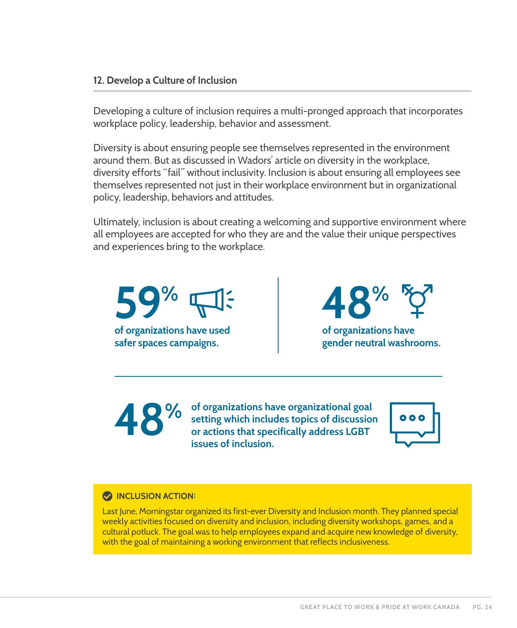## **12. Develop a Culture of Inclusion**

Developing a culture of inclusion requires a multi-pronged approach that incorporates workplace policy, leadership, behavior and assessment.

Diversity is about ensuring people see themselves represented in the environment around them. But as discussed in Wadors' article on diversity in the workplace, diversity efforts "fail" without inclusivity. Inclusion is about ensuring all employees see themselves represented not just in their workplace environment but in organizational policy, leadership, behaviors and attitudes.

Ultimately, inclusion is about creating a welcoming and supportive environment where all employees are accepted for who they are and the value their unique perspectives and experiences bring to the workplace.



**of organizations have used safer spaces campaigns.**

**of organizations have gender neutral washrooms.**

**of organizations have organizational goal setting which includes topics of discussion or actions have organizational goal**<br>setting which includes topics of discussion or actions that specifically address LGBT issues of inclusion. **issues of inclusion. %**



# *<u>O*</u> INCLUSION ACTION:

Last June, Morningstar organized its first-ever Diversity and Inclusion month. They planned special weekly activities focused on diversity and inclusion, including diversity workshops, games, and a cultural potluck. The goal was to help employees expand and acquire new knowledge of diversity, with the goal of maintaining a working environment that reflects inclusiveness.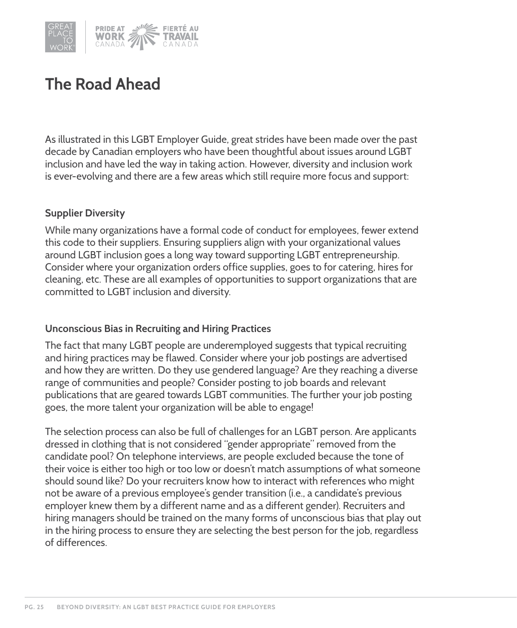

# **The Road Ahead**

As illustrated in this LGBT Employer Guide, great strides have been made over the past decade by Canadian employers who have been thoughtful about issues around LGBT inclusion and have led the way in taking action. However, diversity and inclusion work is ever-evolving and there are a few areas which still require more focus and support:

### **Supplier Diversity**

While many organizations have a formal code of conduct for employees, fewer extend this code to their suppliers. Ensuring suppliers align with your organizational values around LGBT inclusion goes a long way toward supporting LGBT entrepreneurship. Consider where your organization orders office supplies, goes to for catering, hires for cleaning, etc. These are all examples of opportunities to support organizations that are committed to LGBT inclusion and diversity.

### **Unconscious Bias in Recruiting and Hiring Practices**

The fact that many LGBT people are underemployed suggests that typical recruiting and hiring practices may be flawed. Consider where your job postings are advertised and how they are written. Do they use gendered language? Are they reaching a diverse range of communities and people? Consider posting to job boards and relevant publications that are geared towards LGBT communities. The further your job posting goes, the more talent your organization will be able to engage!

The selection process can also be full of challenges for an LGBT person. Are applicants dressed in clothing that is not considered "gender appropriate" removed from the candidate pool? On telephone interviews, are people excluded because the tone of their voice is either too high or too low or doesn't match assumptions of what someone should sound like? Do your recruiters know how to interact with references who might not be aware of a previous employee's gender transition (i.e., a candidate's previous employer knew them by a different name and as a different gender). Recruiters and hiring managers should be trained on the many forms of unconscious bias that play out in the hiring process to ensure they are selecting the best person for the job, regardless of differences.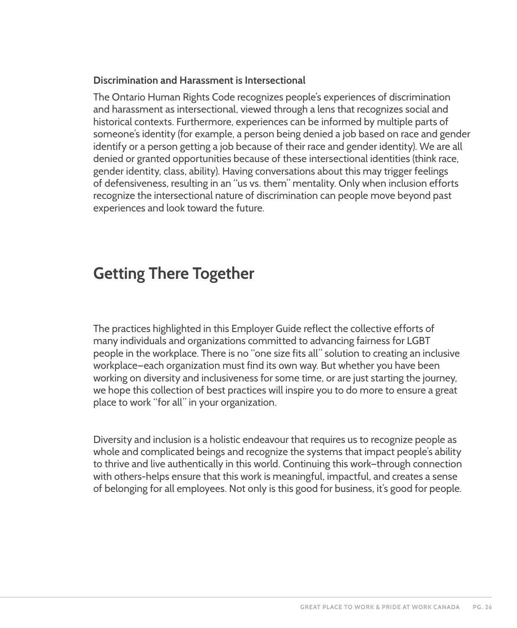## **Discrimination and Harassment is Intersectional**

The Ontario Human Rights Code recognizes people's experiences of discrimination and harassment as intersectional, viewed through a lens that recognizes social and historical contexts. Furthermore, experiences can be informed by multiple parts of someone's identity (for example, a person being denied a job based on race and gender identify or a person getting a job because of their race and gender identity). We are all denied or granted opportunities because of these intersectional identities (think race, gender identity, class, ability). Having conversations about this may trigger feelings of defensiveness, resulting in an "us vs. them" mentality. Only when inclusion efforts recognize the intersectional nature of discrimination can people move beyond past experiences and look toward the future.

# **Getting There Together**

The practices highlighted in this Employer Guide reflect the collective efforts of many individuals and organizations committed to advancing fairness for LGBT people in the workplace. There is no "one size fits all" solution to creating an inclusive workplace—each organization must find its own way. But whether you have been working on diversity and inclusiveness for some time, or are just starting the journey, we hope this collection of best practices will inspire you to do more to ensure a great place to work "for all" in your organization.

Diversity and inclusion is a holistic endeavour that requires us to recognize people as whole and complicated beings and recognize the systems that impact people's ability to thrive and live authentically in this world. Continuing this work—through connection with others-helps ensure that this work is meaningful, impactful, and creates a sense of belonging for all employees. Not only is this good for business, it's good for people.